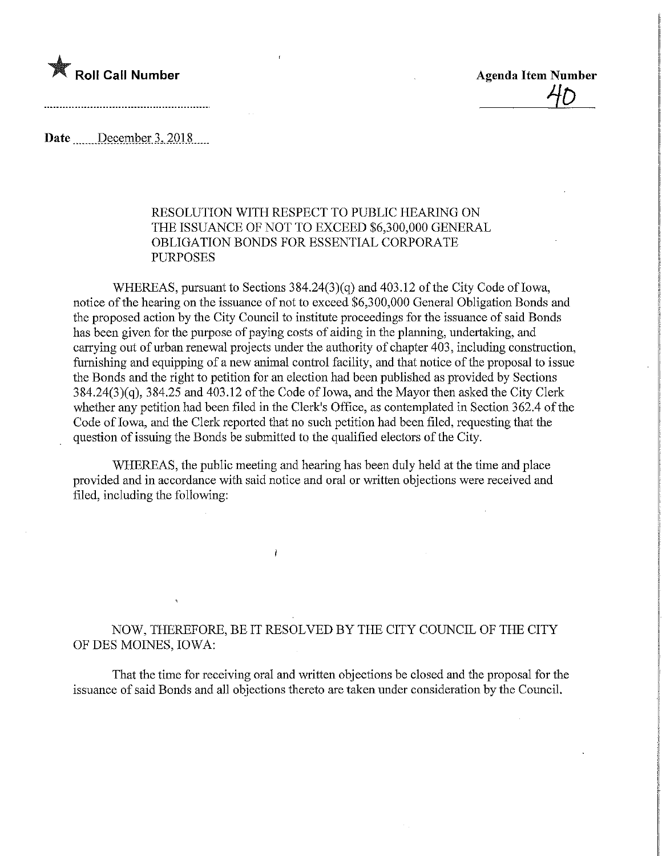

<u>40 </u>

Date December 3, 2018

## RESOLUTION WITH RESPECT TO PUBLIC HEARING ON THE ISSUANCE OF NOT TO EXCEED \$6,300,000 GENERAL OBLIGATION BONDS FOR ESSENTIAL CORPORATE PURPOSES

WHEREAS, pursuant to Sections 384.24(3)(q) and 403.12 of the City Code of Iowa, notice of the hearing on the issuance of not to exceed \$6,300,000 General Obligation Bonds and the proposed action by the City Council to institute proceedings for the issuance of said Bonds has been given for the purpose of paying costs of aiding in the planning, undertaking, and carrying out of urban renewal projects under the authority of chapter 403, including construction, furnishing and equipping of a new animal control facility, and that notice of the proposal to issue the Bonds and the right to petition for an election had been published as provided by Sections  $384.24(3)(q)$ ,  $384.25$  and  $403.12$  of the Code of Iowa, and the Mayor then asked the City Clerk whether any petition had been filed in the Clerk's Office, as contemplated in Section 362.4 of the Code of Iowa, and the Clerk reported that no such petition had been filed, requesting that the question of issuing the Bonds be submitted to the qualified electors of the City.

WHEREAS, the public meeting and hearing has been duly held at the time and place provided and in accordance with said notice and oral or written objections were received and filed, including the following:

 $\lambda$ 

## NOW, THEREFORE, BE IT RESOLVED BY THE CITY COUNCIL OF THE CITY OF DES MOINES, IOWA:

That the time for receiving oral and written objections be closed and the proposal for the issuance of said Bonds and all objections thereto are taken under consideration by the Council.